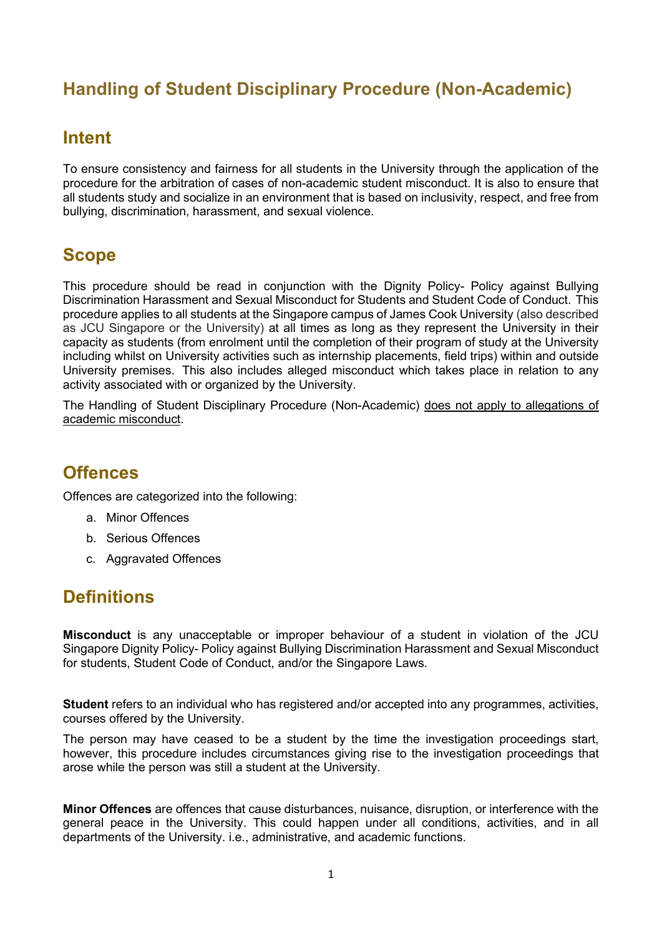# **Handling of Student Disciplinary Procedure (Non-Academic)**

#### **Intent**

To ensure consistency and fairness for all students in the University through the application of the procedure for the arbitration of cases of non-academic student misconduct. It is also to ensure that all students study and socialize in an environment that is based on inclusivity, respect, and free from bullying, discrimination, harassment, and sexual violence.

### **Scope**

This procedure should be read in conjunction with the Dignity Policy- Policy against Bullying Discrimination Harassment and Sexual Misconduct for Students and Student Code of Conduct. This procedure applies to all students at the Singapore campus of James Cook University (also described as JCU Singapore or the University) at all times as long as they represent the University in their capacity as students (from enrolment until the completion of their program of study at the University including whilst on University activities such as internship placements, field trips) within and outside University premises. This also includes alleged misconduct which takes place in relation to any activity associated with or organized by the University.

The Handling of Student Disciplinary Procedure (Non-Academic) does not apply to allegations of academic misconduct.

#### **Offences**

Offences are categorized into the following:

- a. Minor Offences
- b. Serious Offences
- c. Aggravated Offences

#### **Definitions**

**Misconduct** is any unacceptable or improper behaviour of a student in violation of the JCU Singapore Dignity Policy- Policy against Bullying Discrimination Harassment and Sexual Misconduct for students, Student Code of Conduct, and/or the Singapore Laws.

**Student** refers to an individual who has registered and/or accepted into any programmes, activities, courses offered by the University.

The person may have ceased to be a student by the time the investigation proceedings start, however, this procedure includes circumstances giving rise to the investigation proceedings that arose while the person was still a student at the University.

**Minor Offences** are offences that cause disturbances, nuisance, disruption, or interference with the general peace in the University. This could happen under all conditions, activities, and in all departments of the University. i.e., administrative, and academic functions.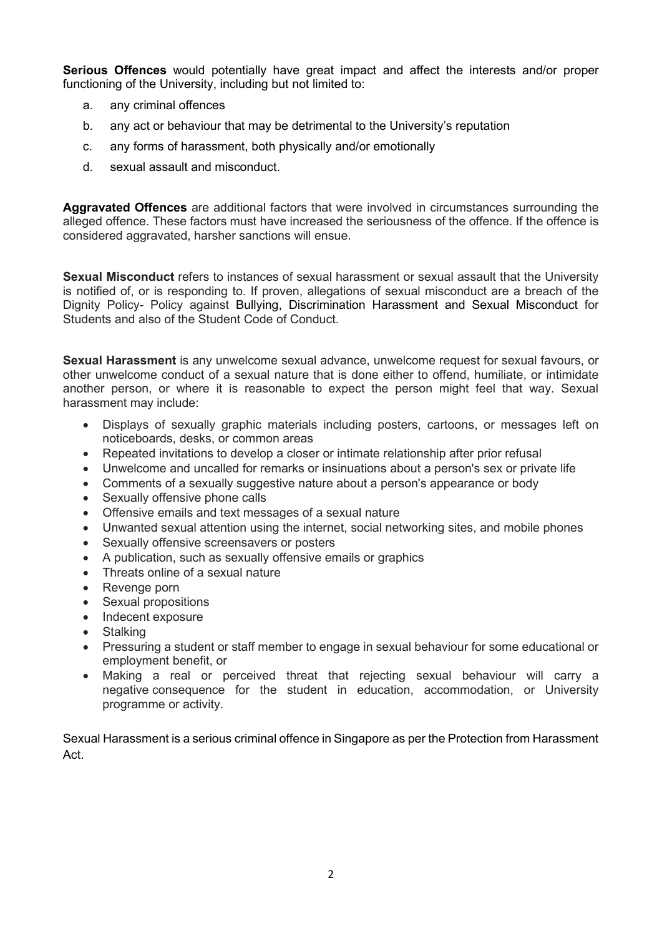**Serious Offences** would potentially have great impact and affect the interests and/or proper functioning of the University, including but not limited to:

- a. any criminal offences
- b. any act or behaviour that may be detrimental to the University's reputation
- c. any forms of harassment, both physically and/or emotionally
- d. sexual assault and misconduct.

**Aggravated Offences** are additional factors that were involved in circumstances surrounding the alleged offence. These factors must have increased the seriousness of the offence. If the offence is considered aggravated, harsher sanctions will ensue.

**Sexual Misconduct** refers to instances of sexual harassment or sexual assault that the University is notified of, or is responding to. If proven, allegations of sexual misconduct are a breach of the Dignity Policy- Policy against Bullying, Discrimination Harassment and Sexual Misconduct for Students and also of the Student Code of Conduct.

**Sexual Harassment** is any unwelcome sexual advance, unwelcome request for sexual favours, or other unwelcome conduct of a sexual nature that is done either to offend, humiliate, or intimidate another person, or where it is reasonable to expect the person might feel that way. Sexual harassment may include:

- Displays of sexually graphic materials including posters, cartoons, or messages left on noticeboards, desks, or common areas
- Repeated invitations to develop a closer or intimate relationship after prior refusal
- Unwelcome and uncalled for remarks or insinuations about a person's sex or private life
- Comments of a sexually suggestive nature about a person's appearance or body
- Sexually offensive phone calls
- Offensive emails and text messages of a sexual nature
- Unwanted sexual attention using the internet, social networking sites, and mobile phones
- Sexually offensive screensavers or posters
- A publication, such as sexually offensive emails or graphics
- Threats online of a sexual nature
- Revenge porn
- Sexual propositions
- Indecent exposure
- Stalking
- Pressuring a student or staff member to engage in sexual behaviour for some educational or employment benefit, or
- Making a real or perceived threat that rejecting sexual behaviour will carry a negative consequence for the student in education, accommodation, or University programme or activity.

Sexual Harassment is a serious criminal offence in Singapore as per the Protection from Harassment Act.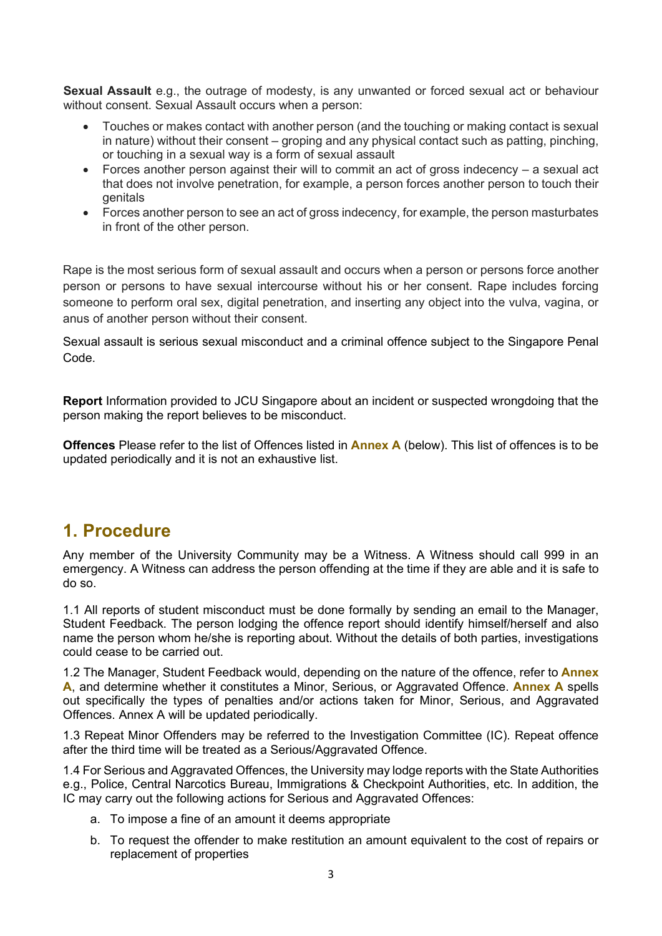**Sexual Assault** e.g., the outrage of modesty, is any unwanted or forced sexual act or behaviour without consent. Sexual Assault occurs when a person:

- Touches or makes contact with another person (and the touching or making contact is sexual in nature) without their consent – groping and any physical contact such as patting, pinching, or touching in a sexual way is a form of sexual assault
- Forces another person against their will to commit an act of gross indecency a sexual act that does not involve penetration, for example, a person forces another person to touch their genitals
- Forces another person to see an act of gross indecency, for example, the person masturbates in front of the other person.

Rape is the most serious form of sexual assault and occurs when a person or persons force another person or persons to have sexual intercourse without his or her consent. Rape includes forcing someone to perform oral sex, digital penetration, and inserting any object into the vulva, vagina, or anus of another person without their consent.

Sexual assault is serious sexual misconduct and a criminal offence subject to the Singapore Penal Code.

**Report** Information provided to JCU Singapore about an incident or suspected wrongdoing that the person making the report believes to be misconduct.

**Offences** Please refer to the list of Offences listed in **Annex A** (below). This list of offences is to be updated periodically and it is not an exhaustive list.

#### **1. Procedure**

Any member of the University Community may be a Witness. A Witness should call 999 in an emergency. A Witness can address the person offending at the time if they are able and it is safe to do so.

1.1 All reports of student misconduct must be done formally by sending an email to the Manager, Student Feedback. The person lodging the offence report should identify himself/herself and also name the person whom he/she is reporting about. Without the details of both parties, investigations could cease to be carried out.

1.2 The Manager, Student Feedback would, depending on the nature of the offence, refer to **Annex A**, and determine whether it constitutes a Minor, Serious, or Aggravated Offence. **Annex A** spells out specifically the types of penalties and/or actions taken for Minor, Serious, and Aggravated Offences. Annex A will be updated periodically.

1.3 Repeat Minor Offenders may be referred to the Investigation Committee (IC). Repeat offence after the third time will be treated as a Serious/Aggravated Offence.

1.4 For Serious and Aggravated Offences, the University may lodge reports with the State Authorities e.g., Police, Central Narcotics Bureau, Immigrations & Checkpoint Authorities, etc. In addition, the IC may carry out the following actions for Serious and Aggravated Offences:

- a. To impose a fine of an amount it deems appropriate
- b. To request the offender to make restitution an amount equivalent to the cost of repairs or replacement of properties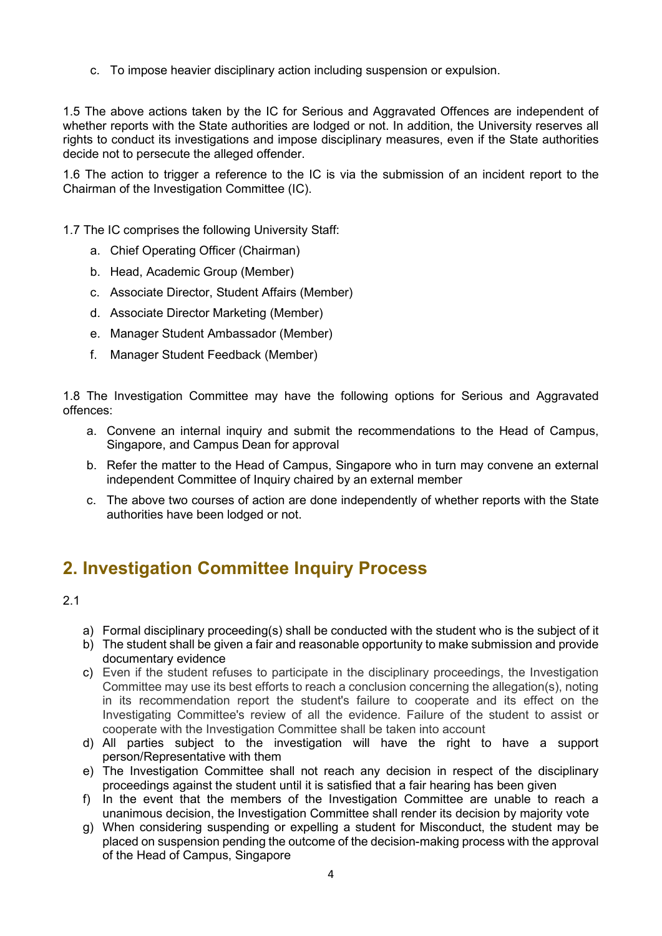c. To impose heavier disciplinary action including suspension or expulsion.

1.5 The above actions taken by the IC for Serious and Aggravated Offences are independent of whether reports with the State authorities are lodged or not. In addition, the University reserves all rights to conduct its investigations and impose disciplinary measures, even if the State authorities decide not to persecute the alleged offender.

1.6 The action to trigger a reference to the IC is via the submission of an incident report to the Chairman of the Investigation Committee (IC).

1.7 The IC comprises the following University Staff:

- a. Chief Operating Officer (Chairman)
- b. Head, Academic Group (Member)
- c. Associate Director, Student Affairs (Member)
- d. Associate Director Marketing (Member)
- e. Manager Student Ambassador (Member)
- f. Manager Student Feedback (Member)

1.8 The Investigation Committee may have the following options for Serious and Aggravated offences:

- a. Convene an internal inquiry and submit the recommendations to the Head of Campus, Singapore, and Campus Dean for approval
- b. Refer the matter to the Head of Campus, Singapore who in turn may convene an external independent Committee of Inquiry chaired by an external member
- c. The above two courses of action are done independently of whether reports with the State authorities have been lodged or not.

## **2. Investigation Committee Inquiry Process**

2.1

- a) Formal disciplinary proceeding(s) shall be conducted with the student who is the subject of it
- b) The student shall be given a fair and reasonable opportunity to make submission and provide documentary evidence
- c) Even if the student refuses to participate in the disciplinary proceedings, the Investigation Committee may use its best efforts to reach a conclusion concerning the allegation(s), noting in its recommendation report the student's failure to cooperate and its effect on the Investigating Committee's review of all the evidence. Failure of the student to assist or cooperate with the Investigation Committee shall be taken into account
- d) All parties subject to the investigation will have the right to have a support person/Representative with them
- e) The Investigation Committee shall not reach any decision in respect of the disciplinary proceedings against the student until it is satisfied that a fair hearing has been given
- f) In the event that the members of the Investigation Committee are unable to reach a unanimous decision, the Investigation Committee shall render its decision by majority vote
- g) When considering suspending or expelling a student for Misconduct, the student may be placed on suspension pending the outcome of the decision-making process with the approval of the Head of Campus, Singapore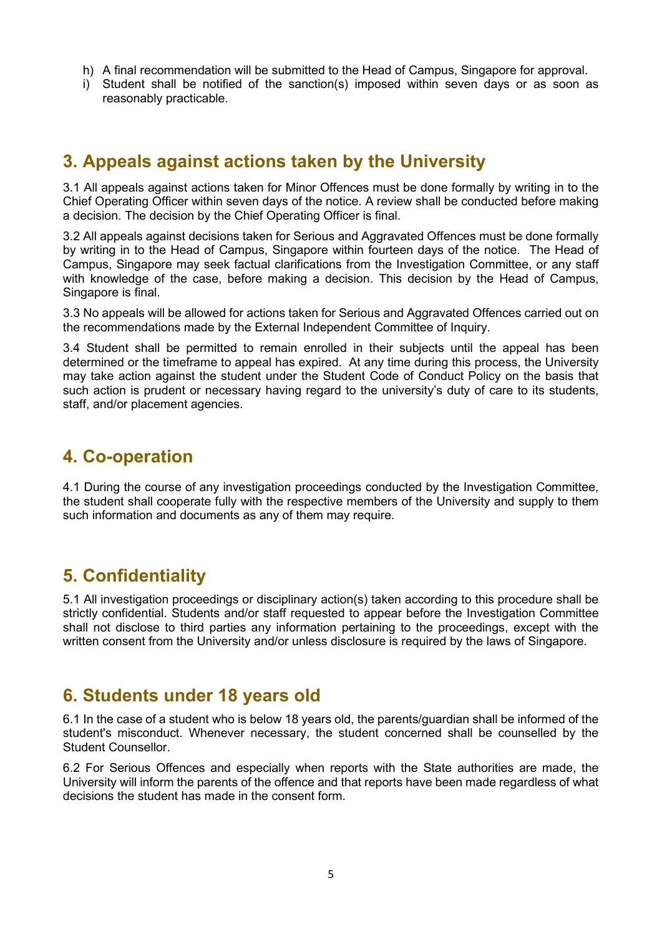- h) A final recommendation will be submitted to the Head of Campus, Singapore for approval.
- i) Student shall be notified of the sanction(s) imposed within seven days or as soon as reasonably practicable.

## **3. Appeals against actions taken by the University**

3.1 All appeals against actions taken for Minor Offences must be done formally by writing in to the Chief Operating Officer within seven days of the notice. A review shall be conducted before making a decision. The decision by the Chief Operating Officer is final.

3.2 All appeals against decisions taken for Serious and Aggravated Offences must be done formally by writing in to the Head of Campus, Singapore within fourteen days of the notice. The Head of Campus, Singapore may seek factual clarifications from the Investigation Committee, or any staff with knowledge of the case, before making a decision. This decision by the Head of Campus, Singapore is final.

3.3 No appeals will be allowed for actions taken for Serious and Aggravated Offences carried out on the recommendations made by the External Independent Committee of Inquiry.

3.4 Student shall be permitted to remain enrolled in their subjects until the appeal has been determined or the timeframe to appeal has expired. At any time during this process, the University may take action against the student under the Student Code of Conduct Policy on the basis that such action is prudent or necessary having regard to the university's duty of care to its students, staff, and/or placement agencies.

#### **4. Co-operation**

4.1 During the course of any investigation proceedings conducted by the Investigation Committee, the student shall cooperate fully with the respective members of the University and supply to them such information and documents as any of them may require.

#### **5. Confidentiality**

5.1 All investigation proceedings or disciplinary action(s) taken according to this procedure shall be strictly confidential. Students and/or staff requested to appear before the Investigation Committee shall not disclose to third parties any information pertaining to the proceedings, except with the written consent from the University and/or unless disclosure is required by the laws of Singapore.

#### **6. Students under 18 years old**

6.1 In the case of a student who is below 18 years old, the parents/guardian shall be informed of the student's misconduct. Whenever necessary, the student concerned shall be counselled by the Student Counsellor.

6.2 For Serious Offences and especially when reports with the State authorities are made, the University will inform the parents of the offence and that reports have been made regardless of what decisions the student has made in the consent form.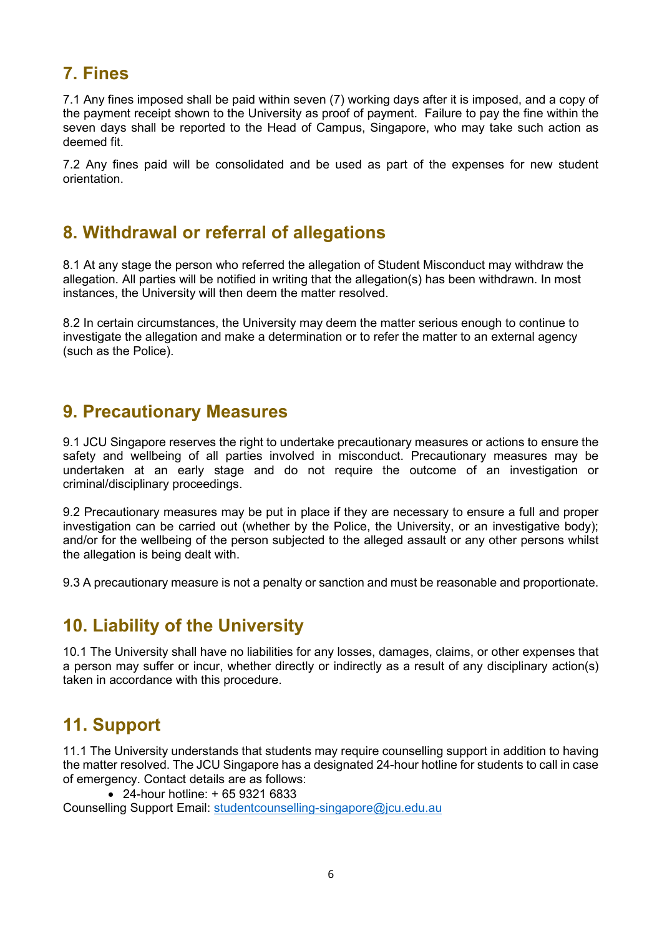## **7. Fines**

7.1 Any fines imposed shall be paid within seven (7) working days after it is imposed, and a copy of the payment receipt shown to the University as proof of payment. Failure to pay the fine within the seven days shall be reported to the Head of Campus, Singapore, who may take such action as deemed fit.

7.2 Any fines paid will be consolidated and be used as part of the expenses for new student orientation.

#### **8. Withdrawal or referral of allegations**

8.1 At any stage the person who referred the allegation of Student Misconduct may withdraw the allegation. All parties will be notified in writing that the allegation(s) has been withdrawn. In most instances, the University will then deem the matter resolved.

8.2 In certain circumstances, the University may deem the matter serious enough to continue to investigate the allegation and make a determination or to refer the matter to an external agency (such as the Police).

#### **9. Precautionary Measures**

9.1 JCU Singapore reserves the right to undertake precautionary measures or actions to ensure the safety and wellbeing of all parties involved in misconduct. Precautionary measures may be undertaken at an early stage and do not require the outcome of an investigation or criminal/disciplinary proceedings.

9.2 Precautionary measures may be put in place if they are necessary to ensure a full and proper investigation can be carried out (whether by the Police, the University, or an investigative body); and/or for the wellbeing of the person subjected to the alleged assault or any other persons whilst the allegation is being dealt with.

9.3 A precautionary measure is not a penalty or sanction and must be reasonable and proportionate.

## **10. Liability of the University**

10.1 The University shall have no liabilities for any losses, damages, claims, or other expenses that a person may suffer or incur, whether directly or indirectly as a result of any disciplinary action(s) taken in accordance with this procedure.

# **11. Support**

11.1 The University understands that students may require counselling support in addition to having the matter resolved. The JCU Singapore has a designated 24-hour hotline for students to call in case of emergency. Contact details are as follows:

• 24-hour hotline: + 65 9321 6833

Counselling Support Email: [studentcounselling-singapore@jcu.edu.au](mailto:studentcounselling-singapore@jcu.edu.au)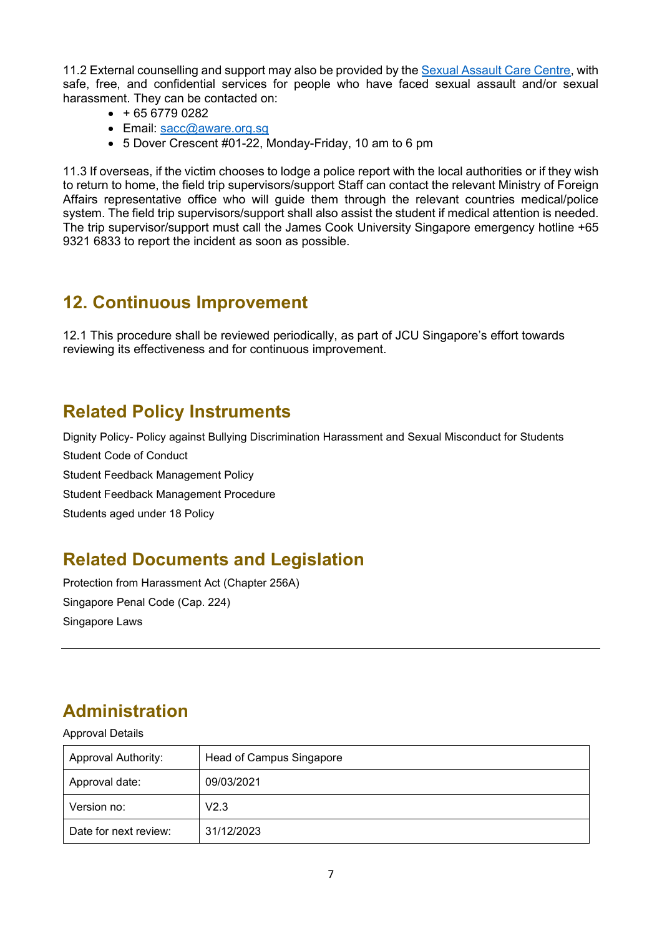11.2 External counselling and support may also be provided by the [Sexual Assault Care Centre,](http://sacc.aware.org.sg/) with safe, free, and confidential services for people who have faced sexual assault and/or sexual harassment. They can be contacted on:

- $\bullet$  + 65 6779 0282
- Email: [sacc@aware.org.sg](mailto:sacc@aware.org.sg)
- 5 Dover Crescent #01-22, Monday-Friday, 10 am to 6 pm

11.3 If overseas, if the victim chooses to lodge a police report with the local authorities or if they wish to return to home, the field trip supervisors/support Staff can contact the relevant Ministry of Foreign Affairs representative office who will guide them through the relevant countries medical/police system. The field trip supervisors/support shall also assist the student if medical attention is needed. The trip supervisor/support must call the James Cook University Singapore emergency hotline +65 9321 6833 to report the incident as soon as possible.

#### **12. Continuous Improvement**

12.1 This procedure shall be reviewed periodically, as part of JCU Singapore's effort towards reviewing its effectiveness and for continuous improvement.

### **Related Policy Instruments**

Dignity Policy- Policy against Bullying Discrimination Harassment and Sexual Misconduct for Students Student Code of Conduct Student Feedback Management Policy Student Feedback Management Procedure Students aged under 18 Policy

## **Related Documents and Legislation**

Protection from Harassment Act (Chapter 256A) Singapore Penal Code (Cap. 224) Singapore Laws

# **Administration**

Approval Details

| <b>Approval Authority:</b> | Head of Campus Singapore |  |  |
|----------------------------|--------------------------|--|--|
| Approval date:             | 09/03/2021               |  |  |
| Version no:                | V2.3                     |  |  |
| Date for next review:      | 31/12/2023               |  |  |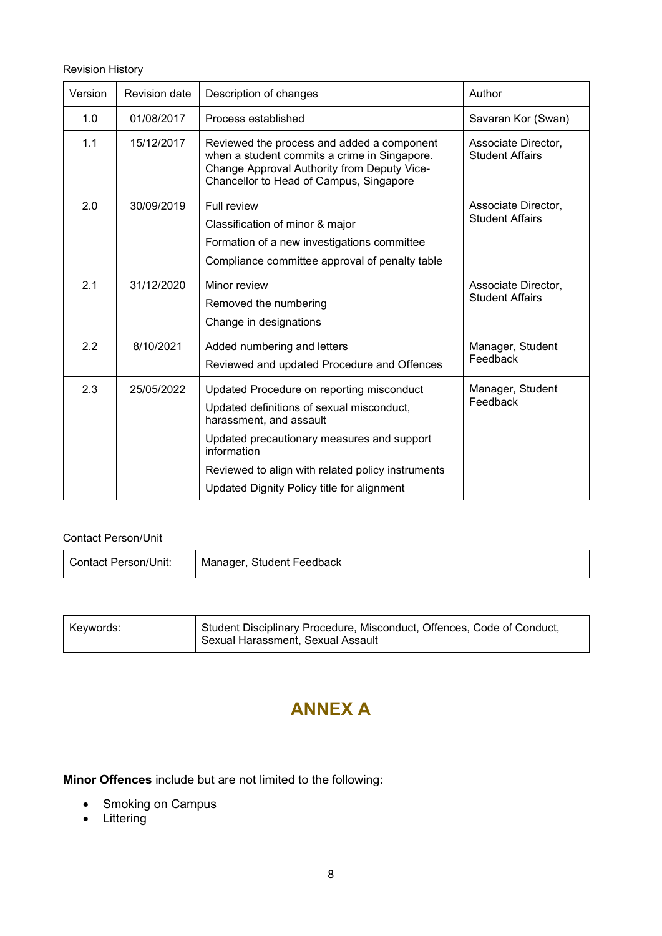Revision History

| Version | Revision date | Description of changes                                                                                                                                                                                                                                                            | Author                                        |  |
|---------|---------------|-----------------------------------------------------------------------------------------------------------------------------------------------------------------------------------------------------------------------------------------------------------------------------------|-----------------------------------------------|--|
| 1.0     | 01/08/2017    | Process established                                                                                                                                                                                                                                                               | Savaran Kor (Swan)                            |  |
| 1.1     | 15/12/2017    | Reviewed the process and added a component<br>when a student commits a crime in Singapore.<br>Change Approval Authority from Deputy Vice-<br>Chancellor to Head of Campus, Singapore                                                                                              | Associate Director,<br><b>Student Affairs</b> |  |
| 2.0     | 30/09/2019    | Full review<br>Classification of minor & major<br>Formation of a new investigations committee<br>Compliance committee approval of penalty table                                                                                                                                   | Associate Director,<br><b>Student Affairs</b> |  |
| 2.1     | 31/12/2020    | Minor review<br>Removed the numbering<br>Change in designations                                                                                                                                                                                                                   | Associate Director,<br><b>Student Affairs</b> |  |
| 2.2     | 8/10/2021     | Added numbering and letters<br>Reviewed and updated Procedure and Offences                                                                                                                                                                                                        | Manager, Student<br>Feedback                  |  |
| 2.3     | 25/05/2022    | Updated Procedure on reporting misconduct<br>Updated definitions of sexual misconduct,<br>harassment, and assault<br>Updated precautionary measures and support<br>information<br>Reviewed to align with related policy instruments<br>Updated Dignity Policy title for alignment | Manager, Student<br>Feedback                  |  |

#### Contact Person/Unit

| Contact Person/Unit: | Manager, Student Feedback |
|----------------------|---------------------------|
|----------------------|---------------------------|

| Kevwords: | <sub>I</sub> Student Disciplinary Procedure, Misconduct, Offences, Code of Conduct,<br>, Sexual Harassment, Sexual Assault |
|-----------|----------------------------------------------------------------------------------------------------------------------------|
|-----------|----------------------------------------------------------------------------------------------------------------------------|

# **ANNEX A**

**Minor Offences** include but are not limited to the following:

- Smoking on Campus
- Littering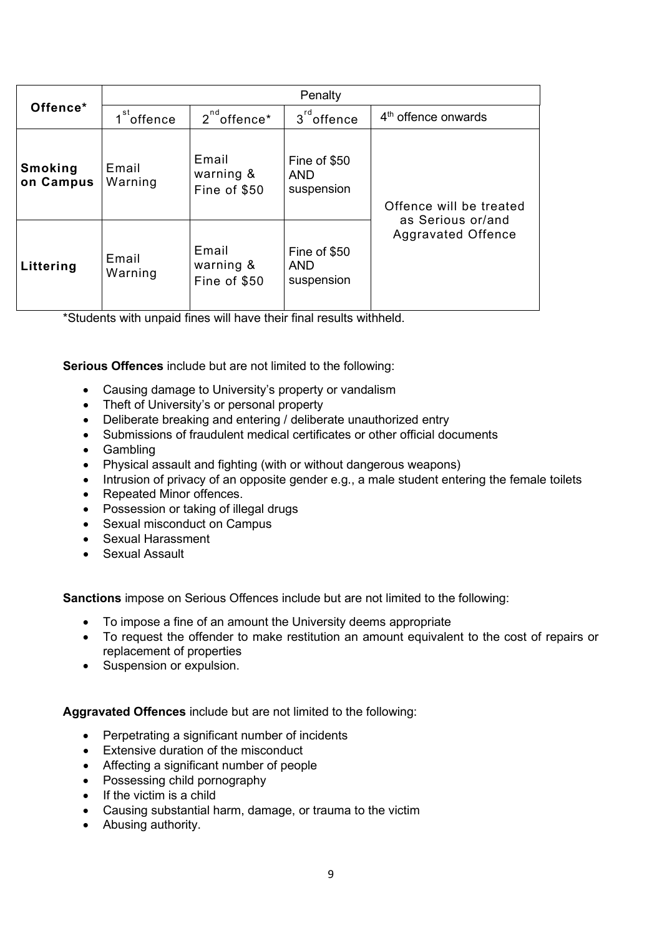|                      | Penalty          |                                    |                                          |                                                                           |  |
|----------------------|------------------|------------------------------------|------------------------------------------|---------------------------------------------------------------------------|--|
| Offence*             | $1st$ offence    | $2^{nd}$ offence*                  | $3rd$ offence                            | 4 <sup>th</sup> offence onwards                                           |  |
| Smoking<br>on Campus | Email<br>Warning | Email<br>warning &<br>Fine of \$50 | Fine of \$50<br><b>AND</b><br>suspension | Offence will be treated<br>as Serious or/and<br><b>Aggravated Offence</b> |  |
| Littering            | Email<br>Warning | Email<br>warning &<br>Fine of \$50 | Fine of \$50<br><b>AND</b><br>suspension |                                                                           |  |

\*Students with unpaid fines will have their final results withheld.

**Serious Offences** include but are not limited to the following:

- Causing damage to University's property or vandalism
- Theft of University's or personal property
- Deliberate breaking and entering / deliberate unauthorized entry
- Submissions of fraudulent medical certificates or other official documents
- Gambling
- Physical assault and fighting (with or without dangerous weapons)
- Intrusion of privacy of an opposite gender e.g., a male student entering the female toilets
- Repeated Minor offences.
- Possession or taking of illegal drugs
- Sexual misconduct on Campus
- Sexual Harassment
- Sexual Assault

**Sanctions** impose on Serious Offences include but are not limited to the following:

- To impose a fine of an amount the University deems appropriate
- To request the offender to make restitution an amount equivalent to the cost of repairs or replacement of properties
- Suspension or expulsion.

**Aggravated Offences** include but are not limited to the following:

- Perpetrating a significant number of incidents
- Extensive duration of the misconduct
- Affecting a significant number of people
- Possessing child pornography
- If the victim is a child
- Causing substantial harm, damage, or trauma to the victim
- Abusing authority.